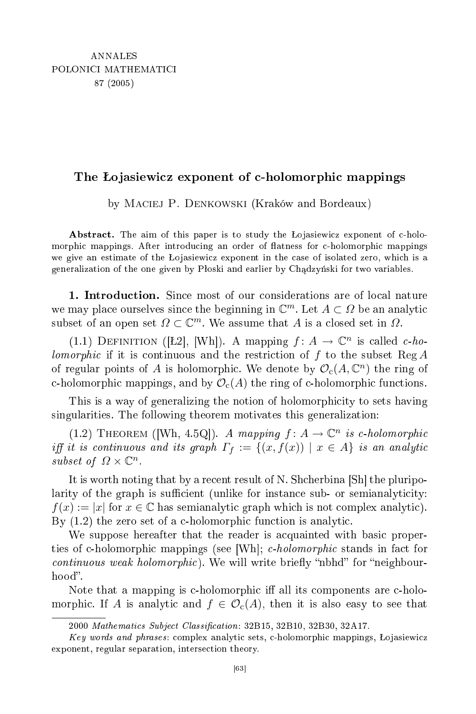## The o jasiewi
z exponent of -holomorphi mappings

by Maciej P. Denkowski (Kraków and Bordeaux)

Abstract. The aim of this paper is to study the Lojasiewicz exponent of c-holomorphic mappings. After introducing an order of flatness for c-holomorphic mappings we give an estimate of the Lojasiewicz exponent in the case of isolated zero, which is a generalization of the one given by Płoski and earlier by Chadzyński for two variables.

1. Introduction. Since most of our considerations are of local nature we may place ourselves since the beginning in  $\mathbb{C}^m$ . Let  $A \subset \Omega$  be an analytic subset of an open set  $\Omega \subset \mathbb{C}^m$ . We assume that A is a closed set in  $\Omega$ .

(1.1) DEFINITION ([Ł2], [Wh]). A mapping  $f: A \to \mathbb{C}^n$  is called c-holomorphic if it is continuous and the restriction of f to the subset  $\text{Reg } A$ of regular points of A is holomorphic. We denote by  $\mathcal{O}_c(A, \mathbb{C}^n)$  the ring of c-holomorphic mappings, and by  $\mathcal{O}_c(A)$  the ring of c-holomorphic functions.

This is a way of generalizing the notion of holomorphicity to sets having singularities. The following theorem motivates this generalization:

(1.2) THEOREM ([Wh, 4.5Q]). A mapping  $f: A \to \mathbb{C}^n$  is c-holomorphic iff it is continuous and its graph  $\Gamma_f := \{(x, f(x)) \mid x \in A\}$  is an analytic subset of  $\Omega \times \mathbb{C}^n$ .

It is worth noting that by a recent result of N. Shcherbina [Sh] the pluripolarity of the graph is sufficient (unlike for instance sub- or semianalyticity:  $f(x) := |x|$  for  $x \in \mathbb{C}$  has semianalytic graph which is not complex analytic). By  $(1.2)$  the zero set of a c-holomorphic function is analytic.

We suppose hereafter that the reader is acquainted with basic properties of c-holomorphic mappings (see |Wh|; c-holomorphic stands in fact for  $continuous\ weak\ holomorphic$ . We will write briefly "nbhd" for "neighbourhood".

Note that a mapping is c-holomorphic iff all its components are c-holomorphic. If A is analytic and  $f \in \mathcal{O}_c(A)$ , then it is also easy to see that

<sup>2000</sup> Mathematics Subject Classification: 32B15, 32B10, 32B30, 32A17.

Key words and phrases: complex analytic sets, c-holomorphic mappings, Lojasiewicz exponent, regular separation, intersection theory.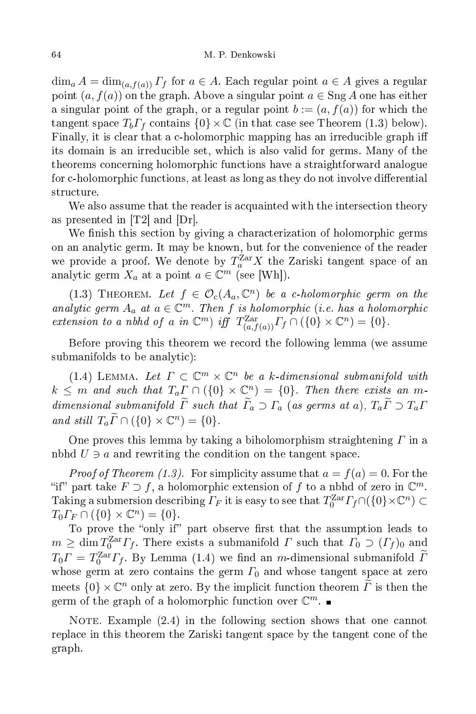$\dim_a A = \dim_{(a, f(a))} \Gamma_f$  for  $a \in A$ . Each regular point  $a \in A$  gives a regular point  $(a, f(a))$  on the graph. Above a singular point  $a \in \text{Sng } A$  one has either a singular point of the graph, or a regular point  $b := (a, f(a))$  for which the tangent space  $T_b\Gamma_f$  contains  $\{0\}\times\mathbb{C}$  (in that case see Theorem (1.3) below). Finally, it is clear that a c-holomorphic mapping has an irreducible graph iff its domain is an irreducible set, which is also valid for germs. Many of the theorems on
erning holomorphi fun
tions have a straightforward analogue for c-holomorphic functions, at least as long as they do not involve differential structure.

We also assume that the reader is acquainted with the intersection theory as presented in  $[T2]$  and  $[Dr]$ .

We finish this section by giving a characterization of holomorphic germs on an analyti germ. It may be known, but for the onvenien
e of the reader we provide a proof. We denote by  $T_a^{\text{Zar}} X$  the Zariski tangent space of an analytic germ  $X_a$  at a point  $a \in \mathbb{C}^m$  (see [Wh]).

(1.3) THEOREM. Let  $f \in \mathcal{O}_c(A_a, \mathbb{C}^n)$  be a c-holomorphic germ on the analytic germ  $A_a$  at  $a \in \mathbb{C}^m$ . Then f is holomorphic (i.e. has a holomorphic extension to a nbhd of a in  $\mathbb{C}^m$ ) iff  $T^{Zar}_{(a,f(a))}\Gamma_f \cap (\{0\} \times \mathbb{C}^n) = \{0\}.$ 

Before proving this theorem we re
ord the following lemma (we assume submanifolds to be analyti
):

(1.4) LEMMA. Let  $\Gamma \subset \mathbb{C}^m \times \mathbb{C}^n$  be a k-dimensional submanifold with  $k \leq m$  and such that  $T_a \Gamma \cap (\{0\} \times \mathbb{C}^n) = \{0\}$ . Then there exists an mdimensional submanifold  $\widetilde{\Gamma}$  such that  $\widetilde{\Gamma}_a \supset \Gamma_a$  (as germs at a),  $T_a \widetilde{\Gamma} \supset T_a \Gamma$ and still  $T_a \widetilde{\Gamma} \cap (\{0\} \times \mathbb{C}^n) = \{0\}.$ 

One proves this lemma by taking a biholomorphism straightening  $\Gamma$  in a nbhd  $U \ni a$  and rewriting the condition on the tangent space.

*Proof of Theorem (1.3).* For simplicity assume that  $a = f(a) = 0$ . For the "if" part take  $F \supset f$ , a holomorphic extension of f to a nbhd of zero in  $\mathbb{C}^m$ . Taking a submersion describing  $\varGamma_F$  it is easy to see that  $T_0^{\mathrm{Zar}}\varGamma_f\cap(\{0\}\times \mathbb C^n)\subset$  $T_0 \Gamma_F \cap (\{0\} \times \mathbb{C}^n) = \{0\}.$ 

To prove the "only if" part observe first that the assumption leads to  $m \geq \dim T_0^{\text{Zar}} F_f$ . There exists a submanifold  $\Gamma$  such that  $\Gamma_0 \supset (\Gamma_f)_0$  and  $T_0 \Gamma = T_0^{\text{Zar}} \Gamma_f$ . By Lemma (1.4) we find an *m*-dimensional submanifold  $\tilde{\Gamma}$ whose germ at zero contains the germ  $\Gamma_0$  and whose tangent space at zero meets  $\{0\} \times \mathbb{C}^n$  only at zero. By the implicit function theorem  $\widetilde{\Gamma}$  is then the germ of the graph of a holomorphic function over  $\mathbb{C}^m$ .

NOTE. Example  $(2.4)$  in the following section shows that one cannot repla
e in this theorem the Zariski tangent spa
e by the tangent one of the graph.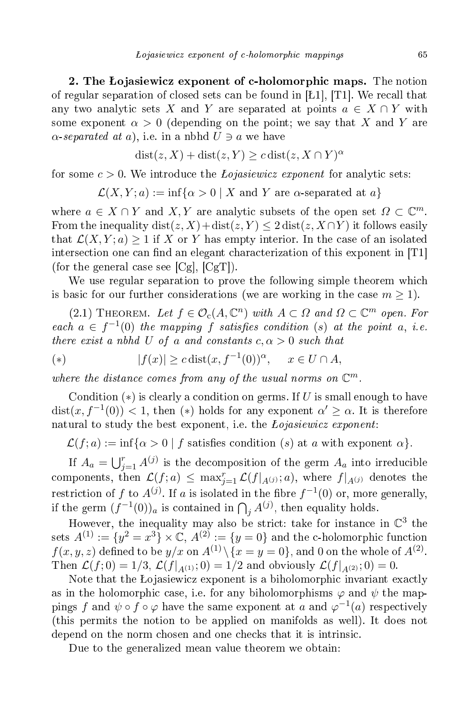2. The Lojasiewicz exponent of c-holomorphic maps. The notion of regular separation of closed sets can be found in [L1], [T1]. We recall that any two analytic sets X and Y are separated at points  $a \in X \cap Y$  with some exponent  $\alpha > 0$  (depending on the point; we say that X and Y are  $\alpha$ -separated at a), i.e. in a nbhd  $U \ni a$  we have

 $dist(z, X) + dist(z, Y) \geq c dist(z, X \cap Y)^{\alpha}$ 

for some  $c > 0$ . We introduce the *Lojasiewicz exponent* for analytic sets:

 $\mathcal{L}(X, Y; a) := \inf\{\alpha > 0 \mid X \text{ and } Y \text{ are } \alpha \text{-separated at } a\}$ 

where  $a \in X \cap Y$  and  $X, Y$  are analytic subsets of the open set  $\Omega \subset \mathbb{C}^m$ . From the inequality dist(z, X)+dist(z, Y)  $\leq 2$  dist(z, X $\cap$ Y) it follows easily that  $\mathcal{L}(X, Y; a) > 1$  if X or Y has empty interior. In the case of an isolated intersection one can find an elegant characterization of this exponent in [T1] (for the general case see  $[Cg], [Cg]$ ).

We use regular separation to prove the following simple theorem which is basic for our further considerations (we are working in the case  $m \geq 1$ ).

(2.1) THEOREM. Let  $f \in \mathcal{O}_c(A, \mathbb{C}^n)$  with  $A \subset \Omega$  and  $\Omega \subset \mathbb{C}^m$  open. For each  $a \in f^{-1}(0)$  the mapping f satisfies condition (s) at the point a, i.e. there exist a nbhd U of a and constants  $c, \alpha > 0$  such that

$$
(*) \qquad |f(x)| \ge c \operatorname{dist}(x, f^{-1}(0))^{\alpha}, \quad x \in U \cap A,
$$

where the distance comes from any of the usual norms on  $\mathbb{C}^m$ .

Condition  $(*)$  is clearly a condition on germs. If U is small enough to have  $dist(x, f^{-1}(0)) < 1$ , then (\*) holds for any exponent  $\alpha' \geq \alpha$ . It is therefore natural to study the best exponent, i.e. the *Lojasiewicz exponent*:

 $\mathcal{L}(f; a) := \inf{\alpha > 0 \mid f \text{ satisfies condition } (s) \text{ at } a \text{ with exponent } \alpha}.$ 

If  $A_a = \bigcup_{j=1}^r A^{(j)}$  is the decomposition of the germ  $A_a$  into irreducible components, then  $\mathcal{L}(f; a) \leq \max_{j=1}^r \mathcal{L}(f|_{A^{(j)}}; a)$ , where  $f|_{A^{(j)}}$  denotes the restriction of f to  $A^{(j)}$ . If a is isolated in the fibre  $f^{-1}(0)$  or, more generally, if the germ  $(f^{-1}(0))_a$  is contained in  $\bigcap_j A^{(j)}$ , then equality holds.

However, the inequality may also be strict: take for instance in  $\mathbb{C}^3$  the  $sets\ A^{(1)} := \{y^2 = x^3\} \times \mathbb{C},\ A^{(2)} := \{y = 0\}$  and the c-holomorphic function  $f(x,y,z)$  defined to be  $y/x$  on  $A^{(1)}\backslash\{x=y=0\},$  and  $0$  on the whole of  $A^{(2)}.$ Then  $\mathcal{L}(f; 0) = 1/3$ ,  $\mathcal{L}(f|_{A^{(1)}}; 0) = 1/2$  and obviously  $\mathcal{L}(f|_{A^{(2)}}; 0) = 0$ .

Note that the Lojasiewicz exponent is a biholomorphic invariant exactly as in the holomorphic case, i.e. for any biholomorphisms  $\varphi$  and  $\psi$  the mappings f and  $\psi \circ f \circ \varphi$  have the same exponent at a and  $\varphi^{-1}(a)$  respectively (this permits the notion to be applied on manifolds as well). It does not depend on the norm chosen and one checks that it is intrinsic.

Due to the generalized mean value theorem we obtain: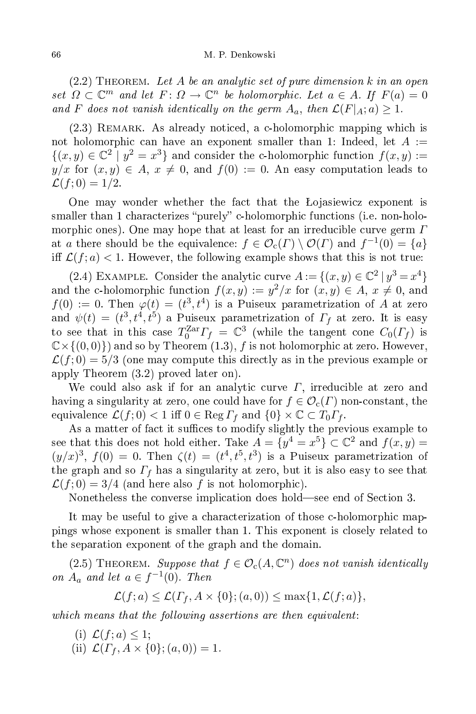## M. P. Denkowski

 $(2.2)$  THEOREM. Let A be an analytic set of pure dimension k in an open set  $\Omega \subset \mathbb{C}^m$  and let  $F: \Omega \to \mathbb{C}^n$  be holomorphic. Let  $a \in A$ . If  $F(a) = 0$ and F does not vanish identically on the germ  $A_a$ , then  $\mathcal{L}(F|_A; a) \geq 1$ .

(2.3) REMARK. As already noticed, a c-holomorphic mapping which is not holomorphic can have an exponent smaller than 1: Indeed, let  $A :=$  $\{(x, y) \in \mathbb{C}^2 \mid y^2 = x^3\}$  and consider the c-holomorphic function  $f(x, y) :=$  $y/x$  for  $(x, y) \in A$ ,  $x \neq 0$ , and  $f(0) := 0$ . An easy computation leads to  $\mathcal{L}(f; 0) = 1/2.$ 

One may wonder whether the fact that the Lojasiewicz exponent is smaller than 1 characterizes "purely" c-holomorphic functions (i.e. non-holomorphic ones). One may hope that at least for an irreducible curve germ  $\Gamma$ at a there should be the equivalence:  $f \in \mathcal{O}_{c}(\Gamma) \setminus \mathcal{O}(\Gamma)$  and  $f^{-1}(0) = \{a\}$ iff  $\mathcal{L}(f; a) < 1$ . However, the following example shows that this is not true:

(2.4) EXAMPLE. Consider the analytic curve  $A := \{(x, y) \in \mathbb{C}^2 \mid y^3 = x^4\}$ and the c-holomorphic function  $f(x,y) := y^2/x$  for  $(x,y) \in A$ ,  $x \neq 0$ , and  $f(0) := 0$ . Then  $\varphi(t) = (t^3, t^4)$  is a Puiseux parametrization of A at zero and  $\psi(t) = (t^3, t^4, t^5)$  a Puiseux parametrization of  $\Gamma_f$  at zero. It is easy to see that in this case  $T_0^{\text{Zar}}F_f = \mathbb{C}^3$  (while the tangent cone  $C_0(F_f)$  is  $\mathbb{C}\times\{(0,0)\}\)$  and so by Theorem (1.3), f is not holomorphic at zero. However,  $\mathcal{L}(f;0) = 5/3$  (one may compute this directly as in the previous example or apply Theorem (3.2) proved later on).

We could also ask if for an analytic curve  $\Gamma$ , irreducible at zero and having a singularity at zero, one could have for  $f \in \mathcal{O}_c(\Gamma)$  non-constant, the equivalence  $\mathcal{L}(f; 0) < 1$  iff  $0 \in \text{Reg } \Gamma_f$  and  $\{0\} \times \mathbb{C} \subset T_0 \Gamma_f$ .

As a matter of fact it suffices to modify slightly the previous example to see that this does not hold either. Take  $A = \{y^4 = x^5\} \subset \mathbb{C}^2$  and  $f(x, y) =$  $(y/x)^3$ ,  $f(0) = 0$ . Then  $\zeta(t) = (t^4, t^5, t^3)$  is a Puiseux parametrization of the graph and so  $\Gamma_f$  has a singularity at zero, but it is also easy to see that  $\mathcal{L}(f; 0) = 3/4$  (and here also f is not holomorphic).

Nonetheless the converse implication does hold—see end of Section 3.

It may be useful to give a characterization of those c-holomorphic mappings whose exponent is smaller than 1. This exponent is losely related to the separation exponent of the graph and the domain.

(2.5) THEOREM. Suppose that  $f \in \mathcal{O}_c(A, \mathbb{C}^n)$  does not vanish identically on  $A_a$  and let  $a \in f^{-1}(0)$ . Then

$$
\mathcal{L}(f; a) \le \mathcal{L}(\Gamma_f, A \times \{0\}; (a, 0)) \le \max\{1, \mathcal{L}(f; a)\},\
$$

which means that the following assertions are then equivalent:

- (i)  $\mathcal{L}(f; a) \leq 1$ ;
- (ii)  $\mathcal{L}(\Gamma_f, A \times \{0\}; (a, 0)) = 1.$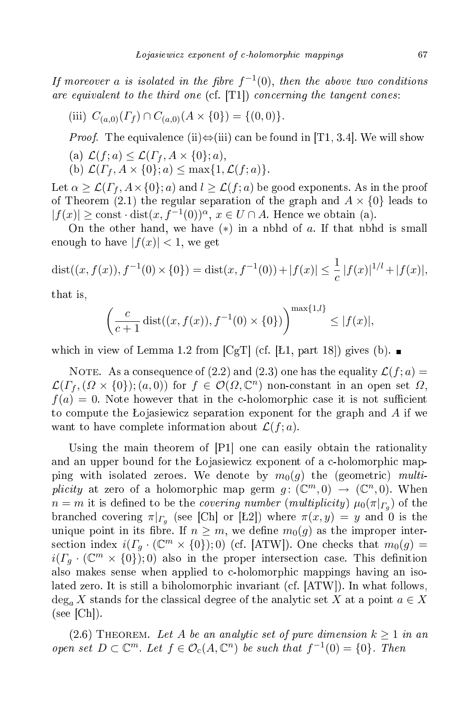If moreover a is isolated in the fibre  $f^{-1}(0)$ , then the above two conditions are equivalent to the third one  $(cf. [T1])$  concerning the tangent cones:

(iii) 
$$
C_{(a,0)}(\Gamma_f) \cap C_{(a,0)}(A \times \{0\}) = \{(0,0)\}.
$$

*Proof.* The equivalence (ii) $\Leftrightarrow$ (iii) can be found in [T1, 3.4]. We will show

(a) 
$$
\mathcal{L}(f; a) \leq \mathcal{L}(\Gamma_f, A \times \{0\}; a),
$$

(b) 
$$
\mathcal{L}(\Gamma_f, A \times \{0\}; a) \leq \max\{1, \mathcal{L}(f; a)\}.
$$

Let  $\alpha \geq \mathcal{L}(\Gamma_f, A \times \{0\}; a)$  and  $l \geq \mathcal{L}(f; a)$  be good exponents. As in the proof of Theorem (2.1) the regular separation of the graph and  $A \times \{0\}$  leads to  $|f(x)| \ge \text{const} \cdot \text{dist}(x, f^{-1}(0))^{\alpha}, x \in U \cap A$ . Hence we obtain (a).

On the other hand, we have  $(*)$  in a nbhd of  $a$ . If that nbhd is small enough to have  $|f(x)| < 1$ , we get

$$
dist((x, f(x)), f^{-1}(0) \times \{0\}) = dist(x, f^{-1}(0)) + |f(x)| \le \frac{1}{c} |f(x)|^{1/l} + |f(x)|,
$$

that is,

$$
\left(\frac{c}{c+1}\operatorname{dist}((x,f(x)),f^{-1}(0)\times\{0\})\right)^{\max\{1,l\}} \le |f(x)|,
$$

which in view of Lemma 1.2 from  $\left[\text{CgT}\right]$  (cf. [Ł1, part 18]) gives (b).

NOTE. As a consequence of (2.2) and (2.3) one has the equality  $\mathcal{L}(f; a) =$  $\mathcal{L}(\Gamma_f, (\Omega \times \{0\});(a,0))$  for  $f \in \mathcal{O}(\Omega, \mathbb{C}^n)$  non-constant in an open set  $\Omega$ ,  $f(a) = 0$ . Note however that in the c-holomorphic case it is not sufficient to compute the Lojasiewicz separation exponent for the graph and  $\tilde{A}$  if we want to have complete information about  $\mathcal{L}(f; a)$ .

Using the main theorem of  $[P1]$  one can easily obtain the rationality and an upper bound for the Lojasiewicz exponent of a c-holomorphic mapping with isolated zeroes. We denote by  $m_0(g)$  the (geometric) multiplicity at zero of a holomorphic map germ  $g: (\mathbb{C}^m,0) \to (\mathbb{C}^n,0)$ . When  $n=m$  it is defined to be the *covering number (multiplicity)*  $\mu_0(\pi|_{\varGamma_g})$  of the branched covering  $\pi|_{\Gamma_g}$  (see [Ch] or [Ł2]) where  $\pi(x, y) = y$  and 0 is the unique point in its fibre. If  $n \geq m$ , we define  $m_0(g)$  as the improper intersection index  $i(\Gamma_g \cdot (\mathbb{C}^m \times \{0\});0)$  (cf. [ATW]). One checks that  $m_0(g)$  =  $i(\Gamma_g \cdot (\mathbb{C}^m \times \{0\});0)$  also in the proper intersection case. This definition also makes sense when applied to -holomorphi mappings having an isolated zero. It is still a biholomorphic invariant (cf.  $|ATW|$ ). In what follows,  $\deg_a X$  stands for the classical degree of the analytic set X at a point  $a \in X$  $(see [Ch]).$ 

(2.6) THEOREM. Let A be an analytic set of pure dimension  $k \geq 1$  in an open set  $D \subset \mathbb{C}^m$ . Let  $f \in \mathcal{O}_c(A, \mathbb{C}^n)$  be such that  $f^{-1}(0) = \{0\}$ . Then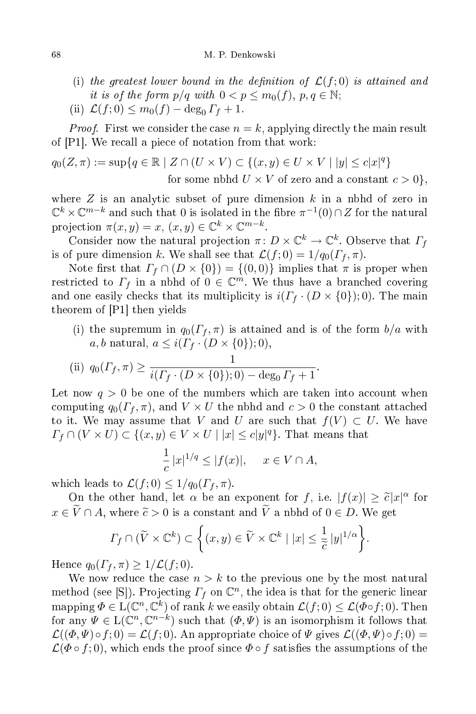- (i) the greatest lower bound in the definition of  $\mathcal{L}(f; 0)$  is attained and it is of the form  $p/q$  with  $0 < p \leq m_0(f)$ ,  $p, q \in \mathbb{N}$ ;
- (ii)  $\mathcal{L}(f; 0) \leq m_0(f) \deg_0 \Gamma_f + 1.$

*Proof.* First we consider the case  $n = k$ , applying directly the main result of  $[P1]$ . We recall a piece of notation from that work:

$$
q_0(Z, \pi) := \sup\{q \in \mathbb{R} \mid Z \cap (U \times V) \subset \{(x, y) \in U \times V \mid |y| \le c|x|^q\}
$$
  
for some nbhd  $U \times V$  of zero and a constant  $c > 0\},$ 

where  $Z$  is an analytic subset of pure dimension  $k$  in a nbhd of zero in  $\mathbb{C}^k \times \mathbb{C}^{m-k}$  and such that  $0$  is isolated in the fibre  $\pi^{-1}(0) \cap Z$  for the natural projection  $\pi(x, y) = x, (x, y) \in \mathbb{C}^k \times \mathbb{C}^{m-k}$ .

Consider now the natural projection  $\pi \colon D \times \mathbb{C}^k \to \mathbb{C}^k$ . Observe that  $\Gamma_f$ is of pure dimension k. We shall see that  $\mathcal{L}(f; 0) = 1/q_0(\Gamma_f, \pi)$ .

Note first that  $\Gamma_f \cap (D \times \{0\}) = \{(0,0)\}\$ implies that  $\pi$  is proper when restricted to  $\Gamma_f$  in a nbhd of  $0 \in \mathbb{C}^m$ . We thus have a branched covering and one easily checks that its multiplicity is  $i(\Gamma_f \cdot (D \times \{0\}); 0)$ . The main theorem of  $[P1]$  then yields

(i) the supremum in  $q_0(\Gamma_f, \pi)$  is attained and is of the form  $b/a$  with a, b natural,  $a \leq i(\Gamma_f \cdot (D \times \{0\}); 0),$ 

(ii) 
$$
q_0(\Gamma_f, \pi) \ge \frac{1}{i(\Gamma_f \cdot (D \times \{0\}); 0) - \deg_0 \Gamma_f + 1}
$$

Let now  $q > 0$  be one of the numbers which are taken into account when computing  $q_0(\Gamma_f, \pi)$ , and  $V \times U$  the nbhd and  $c > 0$  the constant attached to it. We may assume that V and U are such that  $f(V) \subset U$ . We have  $\Gamma_f \cap (V \times U) \subset \{(x, y) \in V \times U \mid |x| \le c |y|^q\}.$  That means that

$$
\frac{1}{c}|x|^{1/q} \le |f(x)|, \quad x \in V \cap A,
$$

which leads to  $\mathcal{L}(f; 0) \leq 1/q_0(\Gamma_f, \pi)$ .

On the other hand, let  $\alpha$  be an exponent for f, i.e.  $|f(x)| \ge \tilde{c}|x|^{\alpha}$  for  $x \in \widetilde{V} \cap A$ , where  $\widetilde{c} > 0$  is a constant and  $\widetilde{V}$  a nbhd of  $0 \in D$ . We get

$$
\Gamma_f \cap (\widetilde{V} \times \mathbb{C}^k) \subset \left\{ (x, y) \in \widetilde{V} \times \mathbb{C}^k \mid |x| \leq \frac{1}{\widetilde{c}} |y|^{1/\alpha} \right\}.
$$

Hence  $q_0(\Gamma_f, \pi) \geq 1/\mathcal{L}(f; 0)$ .

We now reduce the case  $n > k$  to the previous one by the most natural method (see [S]). Projecting  $\Gamma_f$  on  $\mathbb{C}^n$ , the idea is that for the generic linear mapping  $\Phi \in \mathrm{L}(\mathbb{C}^n,\mathbb{C}^k)$  of rank k we easily obtain  $\mathcal{L}(f;0) \leq \mathcal{L}(\Phi \circ f;0)$ . Then for any  $\Psi \in L(\mathbb{C}^n, \mathbb{C}^{n-k})$  such that  $(\Phi, \Psi)$  is an isomorphism it follows that  $\mathcal{L}((\Phi,\Psi)\circ f;0)=\mathcal{L}(f;0)$ . An appropriate choice of  $\Psi$  gives  $\mathcal{L}((\Phi,\Psi)\circ f;0)=$  $\mathcal{L}(\Phi \circ f; 0)$ , which ends the proof since  $\Phi \circ f$  satisfies the assumptions of the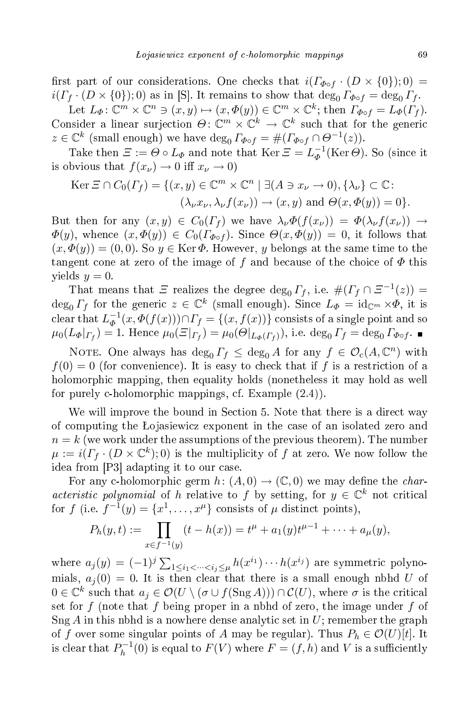first part of our considerations. One checks that  $i(\Gamma_{\Phi \circ f} \cdot (D \times \{0\});0)$  =  $i(\Gamma_f \cdot (D \times \{0\}); 0)$  as in [S]. It remains to show that  $\deg_0 \Gamma_{\phi \circ f} = \deg_0 \Gamma_f$ .

Let  $L_{\Phi} \colon \mathbb{C}^m \times \mathbb{C}^n \ni (x, y) \mapsto (x, \Phi(y)) \in \mathbb{C}^m \times \mathbb{C}^k$ ; then  $\Gamma_{\Phi \circ f} = L_{\Phi}(\Gamma_f)$ . Consider a linear surjection  $\Theta \colon \mathbb{C}^m \times \mathbb{C}^k \to \mathbb{C}^k$  such that for the generic  $z \in \mathbb{C}^k$  (small enough) we have  $\deg_0 \Gamma_{\phi \circ f} = \#(\Gamma_{\phi \circ f} \cap \Theta^{-1}(z)).$ 

Take then  $\varXi:=\varTheta\circ L_\varPhi$  and note that  $\operatorname{Ker}\varXi=L_\varPhi^{-1}$  $_{\Phi}^{-1}(\text{Ker }\Theta)$ . So (since it is obvious that  $f(x_\nu) \to 0$  iff  $x_\nu \to 0$ )

$$
\text{Ker } \Xi \cap C_0(\Gamma_f) = \{ (x, y) \in \mathbb{C}^m \times \mathbb{C}^n \mid \exists (A \ni x_\nu \to 0), \{\lambda_\nu\} \subset \mathbb{C} : \\ (\lambda_\nu x_\nu, \lambda_\nu f(x_\nu)) \to (x, y) \text{ and } \Theta(x, \Phi(y)) = 0 \}.
$$

But then for any  $(x, y) \in C_0(\Gamma_f)$  we have  $\lambda_{\nu} \Phi(f(x_{\nu})) = \Phi(\lambda_{\nu} f(x_{\nu})) \rightarrow$  $\Phi(y)$ , whence  $(x, \Phi(y)) \in C_0(\Gamma_{\Phi \circ f})$ . Since  $\Theta(x, \Phi(y)) = 0$ , it follows that  $(x, \Phi(y)) = (0, 0)$ . So  $y \in \text{Ker }\Phi$ . However, y belongs at the same time to the tangent cone at zero of the image of f and because of the choice of  $\Phi$  this yields  $y = 0$ .

That means that  $\Xi$  realizes the degree  $\deg_0 \Gamma_f$ , i.e.  $\#(\Gamma_f \cap \Xi^{-1}(z)) =$  $\deg_0 \Gamma_f$  for the generic  $z \in \mathbb{C}^k$  (small enough). Since  $L_{\Phi} = \text{id}_{\mathbb{C}^m} \times \Phi$ , it is  $\text{clear that} \; L_{\varPhi}^{-1}$  $\overline{\phi}^1(x, \varPhi(f(x))) \cap \Gamma_f = \{(x, f(x))\}$  consists of a single point and so  $\mu_0(L_\Phi|_{\Gamma_f}) = 1$ . Hence  $\mu_0(\Xi|_{\Gamma_f}) = \mu_0(\Theta|_{L_\Phi(\Gamma_f)})$ , i.e.  $\deg_0 \Gamma_f = \deg_0 \Gamma_{\Phi \circ f}$ .

NOTE. One always has  $\deg_0 \Gamma_f \leq \deg_0 A$  for any  $f \in \mathcal{O}_c(A, \mathbb{C}^n)$  with  $f(0) = 0$  (for convenience). It is easy to check that if f is a restriction of a holomorphi mapping, then equality holds (nonetheless it may hold as well for purely c-holomorphic mappings, cf. Example  $(2.4)$ ).

We will improve the bound in Section 5. Note that there is a direct way of computing the Lojasiewicz exponent in the case of an isolated zero and  $n = k$  (we work under the assumptions of the previous theorem). The number  $\mu := i(\Gamma_f \cdot (D \times \mathbb{C}^k);0)$  is the multiplicity of f at zero. We now follow the idea from  $[P3]$  adapting it to our case.

For any c-holomorphic germ  $h: (A, 0) \to (\mathbb{C}, 0)$  we may define the *char*acteristic polynomial of h relative to f by setting, for  $y \in \mathbb{C}^k$  not critical for f (i.e.  $f^{-1}(y) = \{x^1, \ldots, x^{\mu}\}\)$  consists of  $\mu$  distinct points),

$$
P_h(y,t) := \prod_{x \in f^{-1}(y)} (t - h(x)) = t^{\mu} + a_1(y)t^{\mu-1} + \dots + a_{\mu}(y),
$$

where  $a_j(y) = (-1)^j \sum_{1 \leq i_1 < \dots < i_j \leq \mu} h(x^{i_1}) \cdots h(x^{i_j})$  are symmetric polynomials,  $a_i(0) = 0$ . It is then clear that there is a small enough nbhd U of  $0\in \mathbb{C}^k$  such that  $a_j\in \mathcal O(U\setminus (\sigma\cup f(\operatorname{Sng} A)))\cap \mathcal C(U),$  where  $\sigma$  is the critical set for f (note that f being proper in a nbhd of zero, the image under f of  $Sng A$  in this nbhd is a nowhere dense analytic set in U; remember the graph of f over some singular points of A may be regular). Thus  $P_h \in \mathcal{O}(U)[t]$ . It is clear that  $P_h^{-1}$  $h^{-1}(0)$  is equal to  $F(V)$  where  $F = (f,h)$  and  $V$  is a sufficiently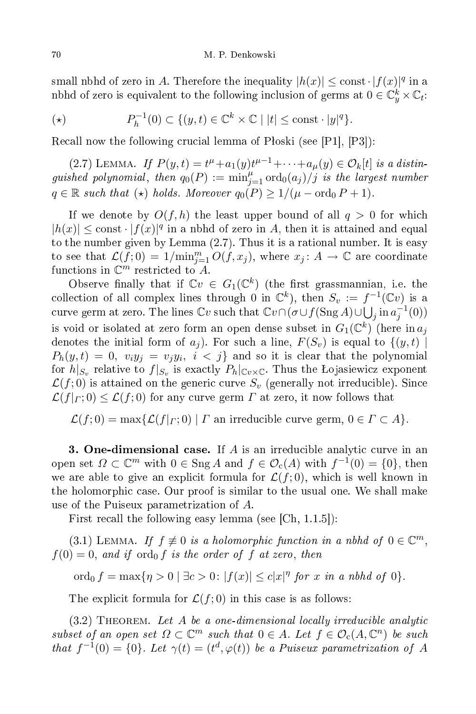small nbhd of zero in A. Therefore the inequality  $|h(x)| \leq \text{const} \cdot |f(x)|^q$  in a nbhd of zero is equivalent to the following inclusion of germs at  $0 \in \mathbb{C}_y^k \times \mathbb{C}_t$ :

$$
(\star) \qquad P_h^{-1}(0) \subset \{(y, t) \in \mathbb{C}^k \times \mathbb{C} \mid |t| \le \text{const} \cdot |y|^q\}.
$$

Recall now the following crucial lemma of Płoski (see  $[P1], [P3]$ ):

(2.7) LEMMA. If  $P(y,t) = t^{\mu} + a_1(y)t^{\mu-1} + \cdots + a_{\mu}(y) \in \mathcal{O}_k[t]$  is a distinguished polynomial, then  $q_0(P) := \min_{j=1}^{\mu} \text{ord}_0(a_j)/j$  is the largest number  $q \in \mathbb{R}$  such that  $(\star)$  holds. Moreover  $q_0(P) \geq 1/(\mu - \text{ord}_0 P + 1)$ .

If we denote by  $O(f, h)$  the least upper bound of all  $q > 0$  for which  $|h(x)| \leq \text{const} \cdot |f(x)|^q$  in a nbhd of zero in A, then it is attained and equal to the number given by Lemma (2.7). Thus it is a rational number. It is easy to see that  $\mathcal{L}(f; 0) = 1/\text{min}_{j=1}^m O(f, x_j)$ , where  $x_j \colon A \to \mathbb{C}$  are coordinate functions in  $\mathbb{C}^m$  restricted to A.

Observe finally that if  $\mathbb{C}v \in G_1(\mathbb{C}^k)$  (the first grassmannian, i.e. the collection of all complex lines through 0 in  $\mathbb{C}^k$ ), then  $S_v := f^{-1}(\mathbb{C}v)$  is a curve germ at zero. The lines  $\mathbb{C}v$  such that  $\mathbb{C}v\cap(\sigma\cup f(\operatorname{Sng} A)\cup\bigcup_j\operatorname{in} a_j^{-1}(0))$ is void or isolated at zero form an open dense subset in  $G_1(\mathbb{C}^k)$  (here in  $a_j$ denotes the initial form of  $a_j$ ). For such a line,  $F(S_v)$  is equal to  $\{(y, t) \mid$  $P_h(y,t)\,=\,0,\,\,v_iy_j\,=\,v_jy_i,\,\,i\,<\,j\}$  and so it is clear that the polynomial for  $h|_{S_v}$  relative to  $f|_{S_v}$  is exactly  $P_h|_{\mathbb{C}v\times\mathbb{C}}.$  Thus the Łojasiewicz exponent  $\mathcal{L}(f,0)$  is attained on the generic curve  $S_n$  (generally not irreducible). Since  $\mathcal{L}(f|_{\Gamma};0) \leq \mathcal{L}(f;0)$  for any curve germ  $\Gamma$  at zero, it now follows that

 $\mathcal{L}(f;0) = \max{\{\mathcal{L}(f|_{\Gamma};0) | \Gamma \text{ an irreducible curve germ, } 0 \in \Gamma \subset A\}}.$ 

3. One-dimensional case. If  $A$  is an irreducible analytic curve in an open set  $\Omega \subset \mathbb{C}^m$  with  $0 \in \text{Sng } A$  and  $f \in \mathcal{O}_c(A)$  with  $f^{-1}(0) = \{0\}$ , then we are able to give an explicit formula for  $\mathcal{L}(f,0)$ , which is well known in the holomorphic case. Our proof is similar to the usual one. We shall make use of the Puiseux parametrization of A.

First recall the following easy lemma (see  $[Ch, 1.1.5]$ ):

(3.1) LEMMA. If  $f \not\equiv 0$  is a holomorphic function in a nbhd of  $0 \in \mathbb{C}^m$ ,  $f(0) = 0$ , and if ord<sub>0</sub> f is the order of f at zero, then

ord<sub>0</sub>  $f = \max\{\eta > 0 \mid \exists c > 0 : |f(x)| \le c|x|^\eta \text{ for } x \text{ in a nbld of } 0\}.$ 

The explicit formula for  $\mathcal{L}(f;0)$  in this case is as follows:

 $(3.2)$  THEOREM. Let A be a one-dimensional locally irreducible analytic subset of an open set  $\Omega \subset \mathbb{C}^m$  such that  $0 \in A$ . Let  $f \in \mathcal{O}_c(A, \mathbb{C}^n)$  be such that  $f^{-1}(0) = \{0\}$ . Let  $\gamma(t) = (t^d, \varphi(t))$  be a Puiseux parametrization of A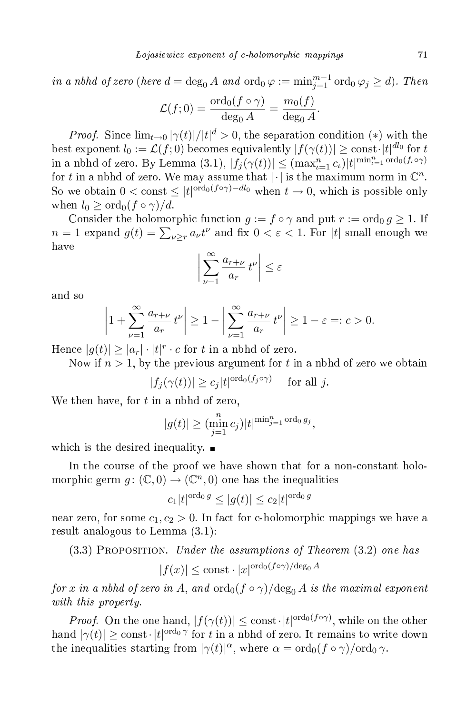in a nbhd of zero (here  $d = \deg_0 A$  and  $\text{ord}_0 \varphi := \min_{j=1}^{m-1} \text{ord}_0 \varphi_j \ge d$ ). Then  $\mathcal{A}(f) = \mathcal{A}$ 

$$
\mathcal{L}(f;0) = \frac{\text{ord}_0(f \circ \gamma)}{\text{deg}_0 A} = \frac{m_0(f)}{\text{deg}_0 A}.
$$

*Proof.* Since  $\lim_{t\to 0} |\gamma(t)|/|t|^d > 0$ , the separation condition (\*) with the best exponent  $l_0 := \mathcal{L}(f; 0)$  becomes equivalently  $|f(\gamma(t))| \ge \text{const} \cdot |t|^{d l_0}$  for  $t$ in a nbhd of zero. By Lemma (3.1),  $|f_j(\gamma(t))| \leq (\max_{t=1}^n c_t)|t|^{\min_{t=1}^n \text{ord}_0(f_t \circ \gamma)}$ for t in a nbhd of zero. We may assume that  $|\cdot|$  is the maximum norm in  $\mathbb{C}^n$ . So we obtain  $0 < \text{const} \leq |t|^{\text{ord}_0(f \circ \gamma) - dl_0}$  when  $t \to 0$ , which is possible only when  $l_0 > \text{ord}_0(f \circ \gamma)/d$ .

Consider the holomorphic function  $g := f \circ \gamma$  and put  $r := \text{ord}_0 g \ge 1$ . If  $n = 1$  expand  $g(t) = \sum_{\nu \geq r} a_{\nu} t^{\nu}$  and fix  $0 < \varepsilon < 1$ . For  $|t|$  small enough we have

$$
\left|\sum_{\nu=1}^{\infty} \frac{a_{r+\nu}}{a_r} t^{\nu}\right| \leq \varepsilon
$$

and so

$$
\left|1+\sum_{\nu=1}^{\infty}\frac{a_{r+\nu}}{a_r}t^{\nu}\right|\geq 1-\left|\sum_{\nu=1}^{\infty}\frac{a_{r+\nu}}{a_r}t^{\nu}\right|\geq 1-\varepsilon=:c>0.
$$

Hence  $|g(t)| \geq |a_r| \cdot |t|^r \cdot c$  for t in a nbhd of zero.

Now if  $n > 1$ , by the previous argument for t in a nbhd of zero we obtain

$$
|f_j(\gamma(t))| \ge c_j |t|^{\text{ord}_0(f_j \circ \gamma)} \quad \text{ for all } j.
$$

We then have, for  $t$  in a nbhd of zero,

$$
|g(t)| \geq (\min_{j=1}^n c_j)|t|^{\min_{j=1}^n \text{ord}_0 g_j},
$$

which is the desired inequality.  $\blacksquare$ 

In the course of the proof we have shown that for a non-constant holomorphic germ  $g: (\mathbb{C}, 0) \to (\mathbb{C}^n, 0)$  one has the inequalities

$$
c_1|t|^{\text{ord}_0\,g} \le |g(t)| \le c_2|t|^{\text{ord}_0\,g}
$$

near zero, for some  $c_1, c_2 > 0$ . In fact for c-holomorphic mappings we have a result analogous to Lemma (3.1):

 $(3.3)$  PROPOSITION. Under the assumptions of Theorem  $(3.2)$  one has

$$
|f(x)| \le \text{const} \cdot |x|^{\text{ord}_0(f \circ \gamma)/\text{deg}_0 A}
$$

for x in a nbhd of zero in A, and  $\text{ord}_0(f \circ \gamma)/\text{deg}_0 A$  is the maximal exponent with this property.

*Proof.* On the one hand,  $|f(\gamma(t))| \leq \text{const} \cdot |t|^{\text{ord}_0(f \circ \gamma)}$ , while on the other hand  $|\gamma(t)| \ge \text{const} \cdot |t|^{\text{ord}_0 \gamma}$  for t in a nbhd of zero. It remains to write down the inequalities starting from  $|\gamma(t)|^{\alpha}$ , where  $\alpha = \text{ord}_0(f \circ \gamma)/\text{ord}_0 \gamma$ .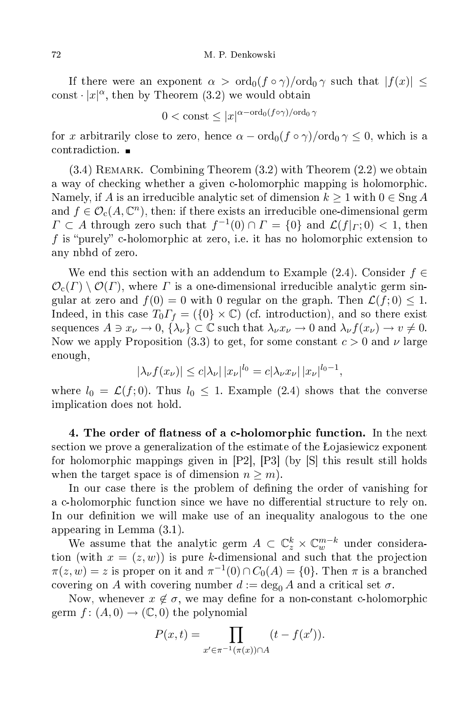If there were an exponent  $\alpha > \text{ord}_0(f \circ \gamma)/\text{ord}_0 \gamma$  such that  $|f(x)| \leq$ const  $\cdot |x|^{\alpha}$ , then by Theorem (3.2) we would obtain

$$
0 < \text{const} \le |x|^{\alpha - \text{ord}_0(f \circ \gamma)/\text{ord}_0 \gamma}
$$

for x arbitrarily close to zero, hence  $\alpha - \text{ord}_0(f \circ \gamma)/\text{ord}_0 \gamma \leq 0$ , which is a

 $(3.4)$  REMARK. Combining Theorem  $(3.2)$  with Theorem  $(2.2)$  we obtain a way of checking whether a given c-holomorphic mapping is holomorphic. Namely, if A is an irreducible analytic set of dimension  $k \geq 1$  with  $0 \in \text{Sng } A$ and  $f \in \mathcal{O}_c(A, \mathbb{C}^n)$ , then: if there exists an irreducible one-dimensional germ  $\Gamma \subset A$  through zero such that  $f^{-1}(0) \cap \Gamma = \{0\}$  and  $\mathcal{L}(f|_{\Gamma}; 0) < 1$ , then f is "purely" c-holomorphic at zero, i.e. it has no holomorphic extension to any nbhd of zero.

We end this section with an addendum to Example (2.4). Consider  $f \in$  $\mathcal{O}_{c}(\Gamma) \setminus \mathcal{O}(\Gamma)$ , where  $\Gamma$  is a one-dimensional irreducible analytic germ singular at zero and  $f(0) = 0$  with 0 regular on the graph. Then  $\mathcal{L}(f, 0) \leq 1$ . Indeed, in this case  $T_0 \Gamma_f = (\{0\} \times \mathbb{C})$  (cf. introduction), and so there exist sequences  $A \ni x_{\nu} \to 0$ ,  $\{\lambda_{\nu}\}\subset \mathbb{C}$  such that  $\lambda_{\nu}x_{\nu} \to 0$  and  $\lambda_{\nu}f(x_{\nu}) \to v \neq 0$ . Now we apply Proposition (3.3) to get, for some constant  $c > 0$  and  $\nu$  large enough,

$$
|\lambda_{\nu} f(x_{\nu})| \leq c |\lambda_{\nu}| |x_{\nu}|^{l_0} = c |\lambda_{\nu} x_{\nu}| |x_{\nu}|^{l_0 - 1},
$$

where  $l_0 = \mathcal{L}(f, 0)$ . Thus  $l_0 \leq 1$ . Example (2.4) shows that the converse impli
ation does not hold.

4. The order of flatness of a c-holomorphic function. In the next section we prove a generalization of the estimate of the Lojasiewicz exponent for holomorphic mappings given in  $[P2]$ ,  $[P3]$  (by  $[S]$  this result still holds when the target space is of dimension  $n \geq m$ ).

In our case there is the problem of defining the order of vanishing for a c-holomorphic function since we have no differential structure to rely on. In our definition we will make use of an inequality analogous to the one appearing in Lemma (3.1).

We assume that the analytic germ  $A \subset \mathbb{C}^k_z \times \mathbb{C}^{m-k}_w$  under consideration (with  $x = (z, w)$ ) is pure k-dimensional and such that the projection  $\pi(z,w) = z$  is proper on it and  $\pi^{-1}(0) \cap C_0(A) = \{0\}.$  Then  $\pi$  is a branched covering on A with covering number  $d := \deg_0 A$  and a critical set  $\sigma$ .

Now, whenever  $x \notin \sigma$ , we may define for a non-constant c-holomorphic germ  $f: (A, 0) \to (\mathbb{C}, 0)$  the polynomial

$$
P(x,t) = \prod_{x' \in \pi^{-1}(\pi(x)) \cap A} (t - f(x')).
$$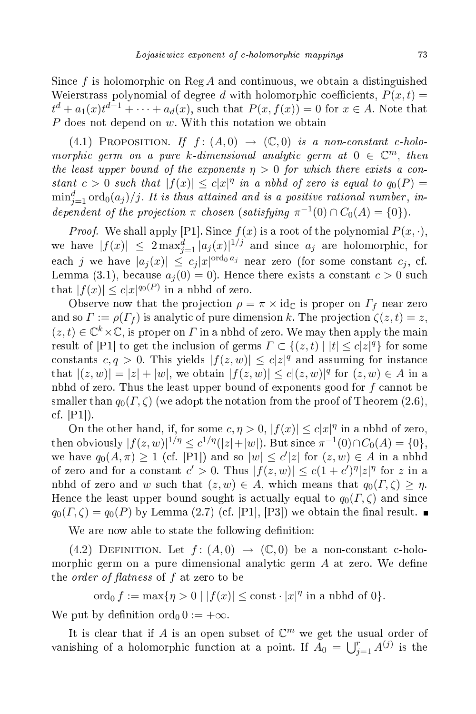Since f is holomorphic on Reg A and continuous, we obtain a distinguished Weierstrass polynomial of degree d with holomorphic coefficients,  $P(x,t) =$  $t^d + a_1(x)t^{d-1} + \cdots + a_d(x)$ , such that  $P(x, f(x)) = 0$  for  $x \in A$ . Note that  $P$  does not depend on  $w$ . With this notation we obtain

(4.1) PROPOSITION. If  $f:(A,0) \rightarrow (\mathbb{C},0)$  is a non-constant c-holomorphic germ on a pure k-dimensional analytic germ at  $0 \in \mathbb{C}^m$ , then the least upper bound of the exponents  $\eta > 0$  for which there exists a constant  $c > 0$  such that  $|f(x)| \leq c|x|^{\eta}$  in a nbhd of zero is equal to  $q_0(P) =$  $\min_{j=1}^d {\rm ord}_0(a_j)/j.$  It is thus attained and is a positive rational number, independent of the projection  $\pi$  chosen (satisfying  $\pi^{-1}(0) \cap C_0(A) = \{0\}$ ).

*Proof.* We shall apply [P1]. Since  $f(x)$  is a root of the polynomial  $P(x, \cdot)$ , we have  $|f(x)| \leq 2 \max_{j=1}^d |a_j(x)|^{1/j}$  and since  $a_j$  are holomorphic, for each j we have  $|a_j(x)| \leq c_j |x|^{\text{ord}_0 a_j}$  near zero (for some constant  $c_j$ , cf. Lemma (3.1), because  $a_i(0) = 0$ . Hence there exists a constant  $c > 0$  such that  $|f(x)| \leq c|x|^{q_0(P)}$  in a nbhd of zero.

Observe now that the projection  $\rho = \pi \times id_{\mathbb{C}}$  is proper on  $\Gamma_f$  near zero and so  $\Gamma := \rho(\Gamma_f)$  is analytic of pure dimension k. The projection  $\zeta(z,t) = z$ ,  $(z, t) \in \mathbb{C}^k \times \mathbb{C}$ , is proper on  $\Gamma$  in a nbhd of zero. We may then apply the main result of [P1] to get the inclusion of germs  $\Gamma \subset \{(z,t) \mid |t| \le c |z|^q\}$  for some constants  $c, q > 0$ . This yields  $|f(z, w)| \leq c |z|^q$  and assuming for instance that  $|(z, w)| = |z| + |w|$ , we obtain  $|f(z, w)| \le c |(z, w)|^q$  for  $(z, w) \in A$  in a nbhd of zero. Thus the least upper bound of exponents good for  $f$  cannot be smaller than  $q_0(\Gamma, \zeta)$  (we adopt the notation from the proof of Theorem (2.6), cf.  $[P1]$ ).

On the other hand, if, for some  $c, \eta > 0$ ,  $|f(x)| \leq c|x|^{\eta}$  in a nbhd of zero, then obviously  $|f(z, w)|^{1/\eta} \leq c^{1/\eta}(|z| + |w|)$ . But since  $\pi^{-1}(0) \cap C_0(A) = \{0\},$ we have  $q_0(A, \pi) \ge 1$  (cf. [P1]) and so  $|w| \le c'|z|$  for  $(z, w) \in A$  in a nbhd of zero and for a constant  $c' > 0$ . Thus  $|f(z, w)| \le c(1 + c')^{\eta} |z|^{\eta}$  for z in a nbhd of zero and w such that  $(z, w) \in A$ , which means that  $q_0(\Gamma, \zeta) \geq \eta$ . Hence the least upper bound sought is actually equal to  $q_0(\Gamma,\zeta)$  and since  $q_0(\Gamma,\zeta) = q_0(P)$  by Lemma (2.7) (cf. [P1], [P3]) we obtain the final result.

We are now able to state the following definition:

(4.2) DEFINITION. Let  $f: (A,0) \rightarrow (\mathbb{C},0)$  be a non-constant c-holomorphic germ on a pure dimensional analytic germ  $A$  at zero. We define the *order of flatness* of  $f$  at zero to be

ord<sub>0</sub>  $f := \max\{\eta > 0 \mid |f(x)| \leq \text{const} \cdot |x|^{\eta} \text{ in a nbhd of } 0\}.$ 

We put by definition ord<sub>0</sub>  $0 := +\infty$ .

It is clear that if A is an open subset of  $\mathbb{C}^m$  we get the usual order of vanishing of a holomorphic function at a point. If  $A_0 = \bigcup_{j=1}^r A^{(j)}$  is the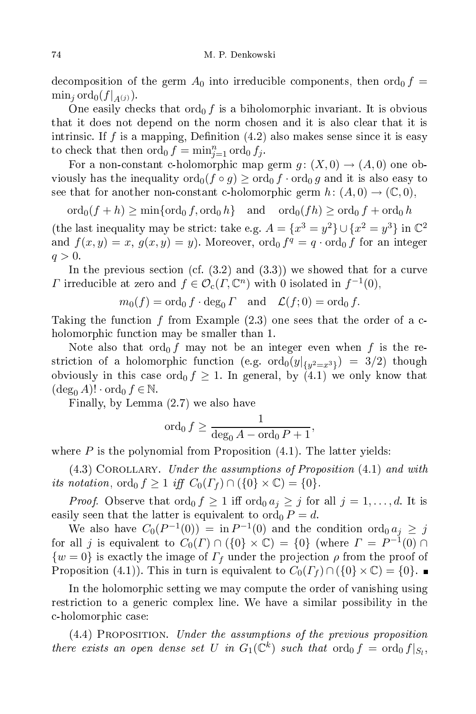decomposition of the germ  $A_0$  into irreducible components, then  $\text{ord}_0 f =$  $\min_i \operatorname{ord}_0(f|_{A(j)})$ .

One easily checks that  $\text{ord}_0 f$  is a biholomorphic invariant. It is obvious that it does not depend on the norm hosen and it is also lear that it is intrinsic. If f is a mapping, Definition  $(4.2)$  also makes sense since it is easy to check that then  $\operatorname{ord}_0 f = \min_{j=1}^n \operatorname{ord}_0 f_j$ .

For a non-constant c-holomorphic map germ  $g: (X,0) \to (A,0)$  one obviously has the inequality  $\text{ord}_0(f \circ g) \geq \text{ord}_0 f \cdot \text{ord}_0 g$  and it is also easy to see that for another non-constant c-holomorphic germ  $h: (A, 0) \to (\mathbb{C}, 0)$ ,

 $\operatorname{ord}_0(f + h) \ge \min\{\operatorname{ord}_0 f, \operatorname{ord}_0 h\}$  and  $\operatorname{ord}_0(fh) \ge \operatorname{ord}_0 f + \operatorname{ord}_0 h$ (the last inequality may be strict: take e.g.  $A = \{x^3 = y^2\} \cup \{x^2 = y^3\}$  in  $\mathbb{C}^2$ and  $f(x, y) = x$ ,  $g(x, y) = y$ . Moreover,  $\text{ord}_0 f^q = q \cdot \text{ord}_0 f$  for an integer  $q>0$ .

In the previous section (cf.  $(3.2)$  and  $(3.3)$ ) we showed that for a curve T irreducible at zero and  $f \in \mathcal{O}_{c}(\Gamma, \mathbb{C}^{n})$  with 0 isolated in  $f^{-1}(0)$ ,

$$
m_0(f) = \text{ord}_0 f \cdot \text{deg}_0 \Gamma
$$
 and  $\mathcal{L}(f; 0) = \text{ord}_0 f$ .

Taking the function  $f$  from Example  $(2.3)$  one sees that the order of a cholomorphic function may be smaller than 1.

Note also that  $\text{ord}_0 f$  may not be an integer even when f is the re- $\text{striction of a holomorphic function (e.g. } \text{ord}_0(y|_{\{y^2=x^3\}}) \ = \ 3/2) \ \ \text{though}$ obviously in this case ord<sub>0</sub>  $f \geq 1$ . In general, by (4.1) we only know that  $(\deg_0 A)! \cdot \text{ord}_0 f \in \mathbb{N}.$ 

Finally, by Lemma  $(2.7)$  we also have

$$
\operatorname{ord}_0 f \ge \frac{1}{\deg_0 A - \operatorname{ord}_0 P + 1},
$$

where  $P$  is the polynomial from Proposition  $(4.1)$ . The latter yields:

 $(4.3)$  COROLLARY. Under the assumptions of Proposition  $(4.1)$  and with its notation,  $\text{ord}_0 f \geq 1$  iff  $C_0(\Gamma_f) \cap (\{0\} \times \mathbb{C}) = \{0\}.$ 

*Proof.* Observe that  $\text{ord}_0 f \geq 1$  iff  $\text{ord}_0 a_j \geq j$  for all  $j = 1, \ldots, d$ . It is easily seen that the latter is equivalent to  $\text{ord}_0 P = d$ .

We also have  $C_0(P^{-1}(0)) = \text{in } P^{-1}(0)$  and the condition  $\text{ord}_0 a_j \geq j$ for all j is equivalent to  $C_0(\Gamma) \cap (\{0\} \times \mathbb{C}) = \{0\}$  (where  $\Gamma = P^{-1}(0) \cap \Gamma$  $\{w=0\}$  is exactly the image of  $\Gamma_f$  under the projection  $\rho$  from the proof of Proposition (4.1)). This in turn is equivalent to  $C_0(\Gamma_f) \cap (\{0\} \times \mathbb{C}) = \{0\}$ .

In the holomorphic setting we may compute the order of vanishing using restriction to a generic complex line. We have a similar possibility in the c-holomorphic case:

(4.4) Proposition. Under the assumptions of the previous proposition there exists an open dense set U in  $G_1(\mathbb{C}^k)$  such that  $\text{ord}_0 f = \text{ord}_0 f|_{S_l}$ ,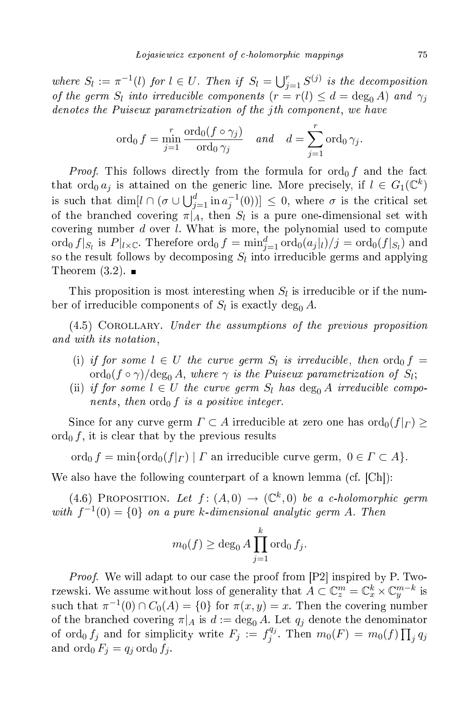where  $S_l := \pi^{-1}(l)$  for  $l \in U$ . Then if  $S_l = \bigcup_{j=1}^r S^{(j)}$  is the decomposition of the germ  $S_l$  into irreducible components  $(r = r(l) \leq d = \deg_0 A)$  and  $\gamma_j$ denotes the Puiseux parametrization of the jth component, we have

$$
\operatorname{ord}_0 f = \min_{j=1}^r \frac{\operatorname{ord}_0(f \circ \gamma_j)}{\operatorname{ord}_0 \gamma_j} \quad \text{and} \quad d = \sum_{j=1}^r \operatorname{ord}_0 \gamma_j.
$$

*Proof.* This follows directly from the formula for  $\text{ord}_0 f$  and the fact that  $\operatorname{ord}_0 a_j$  is attained on the generic line. More precisely, if  $l \in G_1(\mathbb{C}^k)$ is such that  $\dim[l \cap (\sigma \cup \bigcup_{j=1}^{d} \text{in} \, a_j^{-1}(0))] \leq 0$ , where  $\sigma$  is the critical set of the branched covering  $\pi|_A$ , then  $S_l$  is a pure one-dimensional set with covering number  $d$  over  $l$ . What is more, the polynomial used to compute ord $_0 f|_{S_l}$  is  $P|_{l \times \mathbb{C}}$ . Therefore  $\text{ord}_0 f = \min_{j=1}^d \text{ord}_0(a_j|_l)/j = \text{ord}_0(f|_{S_l})$  and so the result follows by decomposing  $S_l$  into irreducible germs and applying Theorem  $(3.2)$ .

This proposition is most interesting when  $S_l$  is irreducible or if the number of irreducible components of  $S_l$  is exactly  $\deg_0 A$ .

 $(4.5)$  COROLLARY. Under the assumptions of the previous proposition and with its notation,

- (i) if for some  $l \in U$  the curve germ  $S_l$  is irreducible, then  $\text{ord}_0 f =$  $\operatorname{ord}_0(f\circ\gamma)/\mathrm{deg}_0\, A,$  where  $\gamma$  is the Puiseux parametrization of  $S_l;$
- (ii) if for some  $l \in U$  the curve germ  $S_l$  has  $\text{deg}_{0} A$  irreducible components, then  $\text{ord}_0 f$  is a positive integer.

Since for any curve germ  $\varGamma \subset A$  irreducible at zero one has  $\mathrm{ord}_0(f|_{\varGamma}) \geq 0$  $\text{ord}_0 f$ , it is clear that by the previous results

ord<sub>0</sub>  $f = \min{\lbrace \text{ord}_0(f|_{\Gamma}) | \Gamma \text{ an irreducible curve germ, } 0 \in \Gamma \subset A \rbrace}$ .

We also have the following counterpart of a known lemma (cf.  $[Ch]$ ):

(4.6) PROPOSITION. Let  $f:(A,0) \rightarrow (\mathbb{C}^k,0)$  be a c-holomorphic germ with  $f^{-1}(0) = \{0\}$  on a pure k-dimensional analytic germ A. Then

$$
m_0(f) \ge \deg_0 A \prod_{j=1}^k \operatorname{ord}_0 f_j.
$$

*Proof.* We will adapt to our case the proof from  $[P2]$  inspired by P. Tworzewski. We assume without loss of generality that  $A\subset\mathbb{C}_{z}^{m}=\mathbb{C}_{x}^{k}\times\mathbb{C}_{y}^{m-k}$  is such that  $\pi^{-1}(0) \cap C_0(A) = \{0\}$  for  $\pi(x, y) = x$ . Then the covering number of the branched covering  $\pi|_A$  is  $d := \deg_0 A$ . Let  $q_i$  denote the denominator of ord<sub>0</sub>  $f_j$  and for simplicity write  $F_j := f_j^{q_j}$  $j^{q_j}$ . Then  $m_0(F) = m_0(f) \prod_j q_j$ and  $\operatorname{ord}_0 F_j = q_j \operatorname{ord}_0 f_j$ .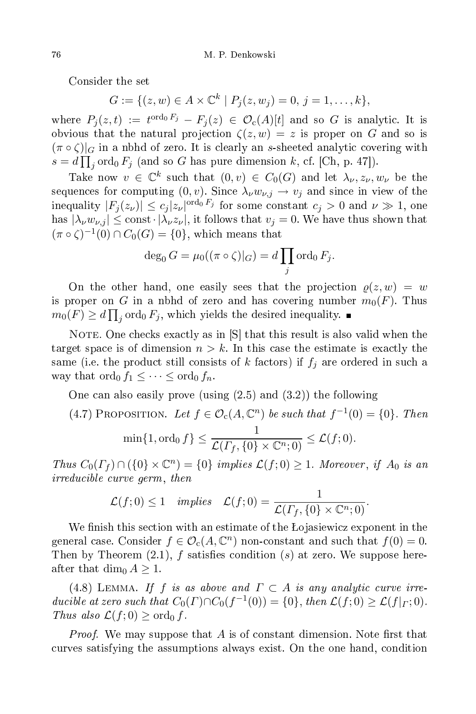Consider the set

$$
G := \{ (z, w) \in A \times \mathbb{C}^k \mid P_j(z, w_j) = 0, j = 1, \dots, k \},\
$$

where  $P_j(z,t) := t^{\text{ord}_0 F_j} - F_j(z) \, \in \, \mathcal{O}_{\text{c}}(A)[t]$  and so  $G$  is analytic. It is obvious that the natural projection  $\zeta(z,w) = z$  is proper on G and so is  $(\pi \circ \zeta)|_G$  in a nbhd of zero. It is clearly an s-sheeted analytic covering with  $s = d \prod_j \text{ord}_0 F_j$  (and so G has pure dimension k, cf. [Ch, p. 47]).

Take now  $v \in \mathbb{C}^k$  such that  $(0, v) \in C_0(G)$  and let  $\lambda_{\nu}, z_{\nu}, w_{\nu}$  be the sequences for computing  $(0, v)$ . Since  $\lambda_{\nu} w_{\nu, j} \rightarrow v_j$  and since in view of the inequality  $|F_j(z_\nu)| \leq c_j |z_\nu|^{\text{ord}_0 \, F_j}$  for some constant  $c_j > 0$  and  $\nu \gg 1$ , one has  $|\lambda_{\nu}w_{\nu,j}|\leq \text{const}\cdot |\lambda_{\nu}z_{\nu}|$ , it follows that  $v_j=0$ . We have thus shown that  $(\pi \circ \zeta)^{-1}(0) \cap C_0(G) = \{0\}$ , which means that

$$
\deg_0 G = \mu_0((\pi \circ \zeta)|_G) = d \prod_j \text{ord}_0 F_j.
$$

On the other hand, one easily sees that the projection  $\rho(z, w) = w$ is proper on G in a nbhd of zero and has covering number  $m_0(F)$ . Thus  $m_0(F) \ge d \prod_j \text{ord}_0 F_j$ , which yields the desired inequality.

NOTE. One checks exactly as in  $[S]$  that this result is also valid when the target space is of dimension  $n > k$ . In this case the estimate is exactly the same (i.e. the product still consists of k factors) if  $f_j$  are ordered in such a way that  $\operatorname{ord}_0 f_1 \leq \cdots \leq \operatorname{ord}_0 f_n$ .

One an also easily prove (using (2.5) and (3.2)) the following

(4.7) PROPOSITION. Let  $f \in \mathcal{O}_c(A, \mathbb{C}^n)$  be such that  $f^{-1}(0) = \{0\}$ . Then

$$
\min\{1,\operatorname{ord}_0 f\} \le \frac{1}{\mathcal{L}(\Gamma_f, \{0\} \times \mathbb{C}^n;0)} \le \mathcal{L}(f,0).
$$

Thus  $C_0(\Gamma_f) \cap (\{0\} \times \mathbb{C}^n) = \{0\}$  implies  $\mathcal{L}(f; 0) \geq 1$ . Moreover, if  $A_0$  is an irreducible curve germ, then

$$
\mathcal{L}(f;0) \leq 1 \quad implies \quad \mathcal{L}(f;0) = \frac{1}{\mathcal{L}(\Gamma_f,\{0\} \times \mathbb{C}^n;0)}.
$$

We finish this section with an estimate of the Łojasiewicz exponent in the general case. Consider  $f \in \mathcal{O}_c(A, \mathbb{C}^n)$  non-constant and such that  $f(0) = 0$ . Then by Theorem  $(2.1)$ , f satisfies condition  $(s)$  at zero. We suppose hereafter that  $\dim_0 A \geq 1$ .

(4.8) LEMMA. If f is as above and  $\Gamma \subset A$  is any analytic curve irreducible at zero such that  $C_0(\Gamma) \cap C_0(f^{-1}(0)) = \{0\}$ , then  $\mathcal{L}(f; 0) \geq \mathcal{L}(f|_{\Gamma}; 0)$ . Thus also  $\mathcal{L}(f; 0) \geq \text{ord}_0 f$ .

*Proof.* We may suppose that A is of constant dimension. Note first that urves satisfying the assumptions always exist. On the one hand, ondition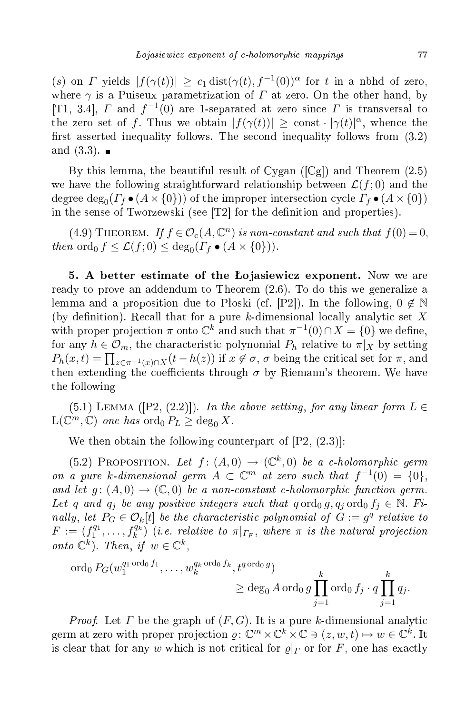(s) on  $\Gamma$  yields  $|f(\gamma(t))| \geq c_1 \text{dist}(\gamma(t), f^{-1}(0))^{\alpha}$  for t in a nbhd of zero, where  $\gamma$  is a Puiseux parametrization of  $\Gamma$  at zero. On the other hand, by [T1, 3.4],  $\Gamma$  and  $f^{-1}(0)$  are 1-separated at zero since  $\Gamma$  is transversal to the zero set of f. Thus we obtain  $|f(\gamma(t))| \geq \text{const} \cdot |\gamma(t)|^{\alpha}$ , whence the first asserted inequality follows. The second inequality follows from  $(3.2)$ and (3.3).  $\blacksquare$ 

By this lemma, the beautiful result of Cygan  $([Cg])$  and Theorem  $(2.5)$ we have the following straightforward relationship between  $\mathcal{L}(f; 0)$  and the degree  $\deg_0(\Gamma_f\bullet (A\times\{0\}))$  of the improper intersection cycle  $\Gamma_f\bullet (A\times\{0\})$ in the sense of Tworzewski (see  $[T2]$  for the definition and properties).

(4.9) THEOREM. If  $f \in \mathcal{O}_c(A, \mathbb{C}^n)$  is non-constant and such that  $f(0) = 0$ , then  $\operatorname{ord}_0 f \leq \mathcal{L}(f; 0) \leq \deg_0(\Gamma_f \bullet (A \times \{0\})).$ 

5. A better estimate of the Łojasiewicz exponent. Now we are ready to prove an addendum to Theorem (2.6). To do this we generalize a lemma and a proposition due to Płoski (cf. [P2]). In the following,  $0 \notin \mathbb{N}$ (by definition). Recall that for a pure k-dimensional locally analytic set X with proper projection  $\pi$  onto  $\mathbb{C}^k$  and such that  $\pi^{-1}(0) \cap X = \{0\}$  we define, for any  $h \in \mathcal{O}_m$ , the characteristic polynomial  $P_h$  relative to  $\pi|_X$  by setting  $P_h(x,t) = \prod_{z \in \pi^{-1}(x) \cap X} (t - h(z))$  if  $x \notin \sigma$ ,  $\sigma$  being the critical set for  $\pi$ , and then extending the coefficients through  $\sigma$  by Riemann's theorem. We have the following

(5.1) LEMMA ( $[P2, (2.2)]$ ). In the above setting, for any linear form  $L \in$  $\mathcal{L}(\mathbb{C}^m,\mathbb{C})$  one has  $\operatorname{ord}_0 P_L \ge \operatorname{deg}_0 X$ .

We then obtain the following counterpart of  $[P2, (2.3)]$ :

(5.2) PROPOSITION. Let  $f:(A,0) \rightarrow (\mathbb{C}^k,0)$  be a c-holomorphic germ on a pure k-dimensional germ  $A \subset \mathbb{C}^m$  at zero such that  $f^{-1}(0) = \{0\},\$ and let  $g: (A,0) \to (\mathbb{C},0)$  be a non-constant c-holomorphic function germ. Let q and  $q_i$  be any positive integers such that  $q \text{ ord}_0 g, q_j \text{ ord}_0 f_j \in \mathbb{N}$ . Finally, let  $P_G \in \mathcal{O}_k[t]$  be the characteristic polynomial of  $G := g^q$  relative to  $F := (f_1^{q_1}, \ldots, f_k^{q_k})$  (i.e. relative to  $\pi|_{\Gamma_F}$ , where  $\pi$  is the natural projection onto  $\mathbb{C}^k$ ). Then, if  $w \in \mathbb{C}^k$ ,

$$
\operatorname{ord}_0 P_G(w_1^{q_1 \operatorname{ord}_0 f_1}, \dots, w_k^{q_k \operatorname{ord}_0 f_k}, t^{q \operatorname{ord}_0 g}) \ge \deg_0 A \operatorname{ord}_0 g \prod_{j=1}^k \operatorname{ord}_0 f_j \cdot q \prod_{j=1}^k q_j.
$$

*Proof.* Let  $\Gamma$  be the graph of  $(F, G)$ . It is a pure k-dimensional analytic germ at zero with proper projection  $\varrho: \mathbb{C}^m \times \mathbb{C}^k \times \mathbb{C} \ni (z, w, t) \mapsto w \in \mathbb{C}^k$ . It is clear that for any w which is not critical for  $\rho|_{\Gamma}$  or for F, one has exactly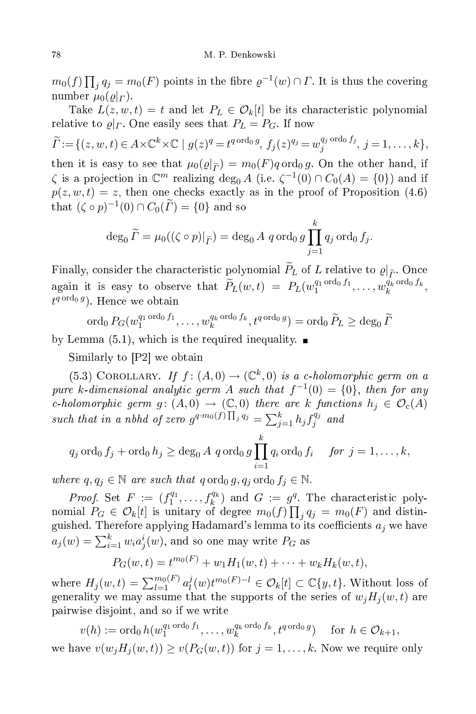$m_0(f) \prod_j q_j = m_0(F)$  points in the fibre  $\varrho^{-1}(w) \cap \varGamma$ . It is thus the covering number  $\mu_0(\varrho|_{\Gamma})$ .

Take  $L(z, w, t) = t$  and let  $P_L \in \mathcal{O}_k[t]$  be its characteristic polynomial relative to  $\varrho|_{\Gamma}$ . One easily sees that  $P_L = P_G$ . If now

 $\widetilde{\Gamma} \! :=\! \{(z,w,t)\!\in\! A \!\times\! \mathbb{C}^k \!\times\! \mathbb{C}\mid g(z)^q\!=\! t^{q\,\text{ord}_0 \,g},\, f_j(z)^{q_j}\!=\!w_j^{q_j\,\text{ord}_0 \,f_j}$  $j_j^{\mathcal{G}_j \text{ of } \mathcal{G}_j}$ ,  $j = 1, \ldots, k\},\$ then it is easy to see that  $\mu_0(\varrho|\tilde{f}) = m_0(F)q \text{ ord}_0 g$ . On the other hand, if  $\zeta$  is a projection in  $\mathbb{C}^m$  realizing  $\deg_0 A$  (i.e.  $\zeta^{-1}(0) \cap C_0(A) = \{0\}$ ) and if  $p(z, w, t) = z$ , then one checks exactly as in the proof of Proposition (4.6)

$$
\deg_0 \widetilde{\Gamma} = \mu_0((\zeta \circ p)|_{\widetilde{\Gamma}}) = \deg_0 A \ q \operatorname{ord}_0 g \prod_{j=1}^k q_j \operatorname{ord}_0 f_j.
$$

Finally, consider the characteristic polynomial  $\widetilde{P}_L$  of L relative to  $\varrho|_{\widetilde{P}}$ . Once  $\Gamma$  . Once again it is easy to observe that  $\widetilde{P}_L(w,t) = P_L(w_1^{q_1 \text{ ord}_0 f_1}, \ldots, w_k^{q_k \text{ ord}_0 f_k})$  $\frac{q_k}{k}$ <sup>ordo</sup>  $\frac{q_k}{k}$ ,  $t^{q \operatorname{ord}_0 g}$ ). Hence we obtain

 $\operatorname{ord}_0 P_G(w_1^{q_1 \cdot \operatorname{ord}_0 f_1}, \dots, w_k^{q_k \cdot \operatorname{ord}_0 f_k})$  $\int_k^{q_k \text{ ord}_0 f_k}, t^{q \text{ ord}_0 g}) = \text{ord}_0 \,\widetilde{P}_L \ge \text{deg}_0 \,\widetilde{\Gamma}$ 

by Lemma  $(5.1)$ , which is the required inequality.

Similarly to  $[P2]$  we obtain

that  $(\zeta \circ p)^{-1}(0) \cap C_0(\Gamma) = \{0\}$  and so

(5.3) COROLLARY. If  $f:(A,0) \to (\mathbb{C}^k,0)$  is a c-holomorphic germ on a pure k-dimensional analytic germ A such that  $f^{-1}(0) = \{0\}$ , then for any c-holomorphic germ  $g: (A,0) \to (\mathbb{C},0)$  there are k functions  $h_j \in \mathcal{O}_c(A)$ such that in a nbhd of zero  $g^{q \cdot m_0(f)}$   $\prod_j q_j = \sum_{j=1}^k h_j f_j^{q_j}$ j  $\frac{u}{u}$ 

$$
q_j \text{ ord}_0 f_j + \text{ord}_0 h_j \ge \deg_0 A q \text{ ord}_0 g \prod_{i=1}^k q_i \text{ ord}_0 f_i \quad \text{for } j = 1, \ldots, k,
$$

where  $q, q_j \in \mathbb{N}$  are such that  $q \text{ ord}_0 g, q_j \text{ ord}_0 f_j \in \mathbb{N}$ .

*Proof.* Set  $F := (f_1^{q_1}, \ldots, f_k^{q_k})$  and  $G := g^q$ . The characteristic polynomial  $P_G \in \mathcal{O}_k[t]$  is unitary of degree  $m_0(f) \prod_j q_j = m_0(F)$  and distinguished. Therefore applying Hadamard's lemma to its coefficients  $a_j$  we have  $a_j(w) = \sum_{i=1}^k w_i a_j^i(w),$  and so one may write  $P_G$  as

$$
P_G(w,t) = t^{m_0(F)} + w_1 H_1(w,t) + \cdots + w_k H_k(w,t),
$$

where  $H_j(w, t) = \sum_{l=1}^{m_0(F)} a_l^j$  $\mathcal{O}_l^j(w)t^{m_0(F)-l}\in\mathcal{O}_k[t]\subset\mathbb{C}\{y,t\}.$  Without loss of generality we may assume that the supports of the series of  $w_jH_j(w, t)$  are pairwise disjoint, and so if we write

$$
v(h) := \operatorname{ord}_0 h(w_1^{q_1 \operatorname{ord}_0 f_1}, \dots, w_k^{q_k \operatorname{ord}_0 f_k}, t^{q \operatorname{ord}_0 g}) \quad \text{ for } h \in \mathcal{O}_{k+1},
$$

we have  $v(w_j H_j(w, t)) \ge v(P_G(w, t))$  for  $j = 1, ..., k$ . Now we require only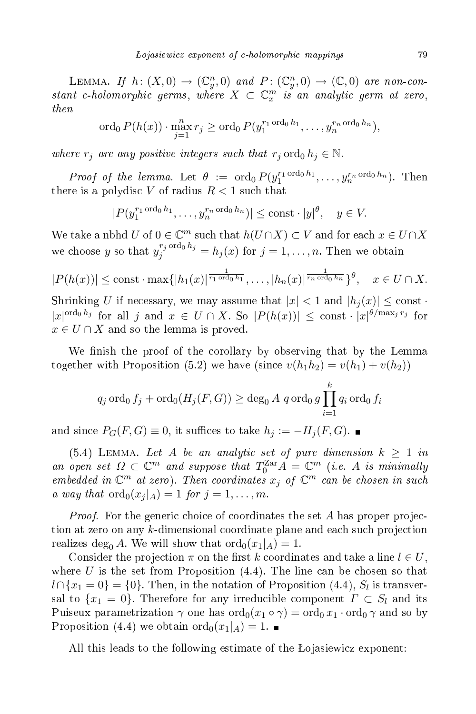LEMMA. If  $h: (X,0) \to (\mathbb{C}_y^n,0)$  and  $P: (\mathbb{C}_y^n,0) \to (\mathbb{C},0)$  are non-constant c-holomorphic germs, where  $X \subset \mathbb{C}_x^m$  is an analytic germ at zero, then

$$
\operatorname{ord}_0 P(h(x)) \cdot \max_{j=1}^n r_j \ge \operatorname{ord}_0 P(y_1^{r_1 \operatorname{ord}_0 h_1}, \dots, y_n^{r_n \operatorname{ord}_0 h_n}),
$$

where  $r_i$  are any positive integers such that  $r_i$  ord<sub>0</sub>  $h_i \in \mathbb{N}$ .

Proof of the lemma. Let  $\theta := \text{ord}_0 P(y_1^{r_1 \text{ ord}_0 h_1}, \dots, y_n^{r_n \text{ ord}_0 h_n}).$  Then there is a polydisc V of radius  $R < 1$  such that

$$
|P(y_1^{r_1 \text{ ord}_0 h_1}, \dots, y_n^{r_n \text{ ord}_0 h_n})| \le \text{const} \cdot |y|^{\theta}, \quad y \in V.
$$

We take a nbhd  $U$  of  $0 \in \mathbb{C}^m$  such that  $h(U \cap X) \subset V$  and for each  $x \in U \cap X$ we choose y so that  $y_j^{r_j \text{ ord}_0 h_j} = h_j(x)$  for  $j = 1, ..., n$ . Then we obtain

$$
|P(h(x))| \le \text{const} \cdot \max\{|h_1(x)|^{\frac{1}{r_1 \text{ ord}_0 h_1}}, \dots, |h_n(x)|^{\frac{1}{r_n \text{ ord}_0 h_n}}\}^{\theta}, \quad x \in U \cap X.
$$

Shrinking U if necessary, we may assume that  $|x| < 1$  and  $|h_i(x)| \leq \text{const}$ .  $|x|^{\text{ord}_0 h_j}$  for all j and  $x \in U \cap X$ . So  $|P(h(x))| \leq \text{const} \cdot |x|^{\theta/\max_j r_j}$  for  $x \in U \cap X$  and so the lemma is proved.

We finish the proof of the corollary by observing that by the Lemma together with Proposition (5.2) we have (since  $v(h_1h_2) = v(h_1) + v(h_2)$ )

$$
q_j \operatorname{ord}_0 f_j + \operatorname{ord}_0(H_j(F, G)) \ge \deg_0 A \text{ } q \operatorname{ord}_0 g \prod_{i=1}^k q_i \operatorname{ord}_0 f_i
$$

and since  $P_G(F, G) \equiv 0$ , it suffices to take  $h_j := -H_j(F, G)$ . ■

(5.4) LEMMA. Let A be an analytic set of pure dimension  $k \geq 1$  in an open set  $\Omega \subset \mathbb{C}^m$  and suppose that  $T_0^{\text{Zar}} A = \mathbb{C}^m$  (i.e. A is minimally embedded in  $\mathbb{C}^m$  at zero). Then coordinates  $x_j$  of  $\mathbb{C}^m$  can be chosen in such a way that  $\operatorname{ord}_0(x_i|_A) = 1$  for  $j = 1, \ldots, m$ .

*Proof.* For the generic choice of coordinates the set A has proper projection at zero on any k-dimensional coordinate plane and each such projection realizes deg<sub>0</sub> A. We will show that  $\text{ord}_0(x_1|_A) = 1$ .

Consider the projection  $\pi$  on the first k coordinates and take a line  $l \in U$ , where  $U$  is the set from Proposition  $(4.4)$ . The line can be chosen so that  $l \cap \{x_1=0\} = \{0\}.$  Then, in the notation of Proposition  $(4.4)$ ,  $S_l$  is transversal to  $\{x_1 = 0\}$ . Therefore for any irreducible component  $\Gamma \subset S_l$  and its Puiseux parametrization  $\gamma$  one has  $\text{ord}_0(x_1 \circ \gamma) = \text{ord}_0 x_1 \cdot \text{ord}_0 \gamma$  and so by Proposition (4.4) we obtain  $\text{ord}_0(x_1|_A) = 1$ .

All this leads to the following estimate of the Lojasiewicz exponent: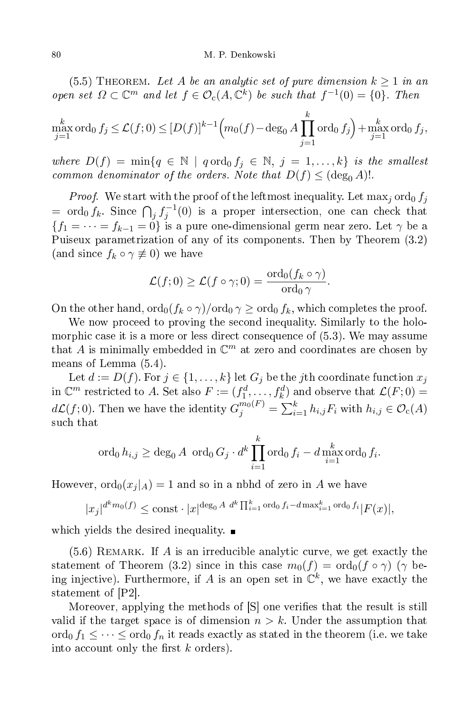(5.5) THEOREM. Let A be an analytic set of pure dimension  $k \geq 1$  in an open set  $\Omega \subset \mathbb{C}^m$  and let  $f \in \mathcal{O}_c(A, \mathbb{C}^k)$  be such that  $f^{-1}(0) = \{0\}$ . Then

$$
\max_{j=1}^k \operatorname{ord}_0 f_j \le \mathcal{L}(f; 0) \le [D(f)]^{k-1} \Big( m_0(f) - \deg_0 A \prod_{j=1}^k \operatorname{ord}_0 f_j \Big) + \max_{j=1}^k \operatorname{ord}_0 f_j,
$$

where  $D(f) = \min\{q \in \mathbb{N} \mid q \text{ ord}_0 f_j \in \mathbb{N}, j = 1, ..., k\}$  is the smallest common denominator of the orders. Note that  $D(f) \leq (\deg_0 A)!$ .

*Proof.* We start with the proof of the leftmost inequality. Let  $\max_j \text{ord}_0 f_j$ = ord<sub>0</sub>  $f_k$ . Since  $\bigcap_j f_j^{-1}(0)$  is a proper intersection, one can check that  ${f_1 = \dots = f_{k-1} = 0}$  is a pure one-dimensional germ near zero. Let  $\gamma$  be a Puiseux parametrization of any of its omponents. Then by Theorem (3.2) (and since  $f_k \circ \gamma \not\equiv 0$ ) we have

$$
\mathcal{L}(f;0) \geq \mathcal{L}(f \circ \gamma;0) = \frac{\text{ord}_0(f_k \circ \gamma)}{\text{ord}_0 \gamma}.
$$

On the other hand,  $\text{ord}_0(f_k \circ \gamma)/\text{ord}_0 \gamma \geq \text{ord}_0 f_k$ , which completes the proof.

We now proceed to proving the second inequality. Similarly to the holomorphic case it is a more or less direct consequence of  $(5.3)$ . We may assume that A is minimally embedded in  $\mathbb{C}^m$  at zero and coordinates are chosen by means of Lemma (5.4).

Let  $d := D(f)$ . For  $j \in \{1, ..., k\}$  let  $G_j$  be the j<sup>th</sup> coordinate function  $x_j$ in  $\mathbb{C}^m$  restricted to A. Set also  $F := (f_1^d, \ldots, f_k^d)$  and observe that  $\mathcal{L}(F; 0) =$  $d\mathcal{L}(f;0).$  Then we have the identity  $G^{m_0(F)}_j = \sum_{i=1}^k h_{i,j}F_i$  with  $h_{i,j} \in \mathcal{O}_{\text{c}}(A)$ su
h that

$$
\operatorname{ord}_0 h_{i,j} \ge \deg_0 A \, \operatorname{ord}_0 G_j \cdot d^k \prod_{i=1}^k \operatorname{ord}_0 f_i - d \max_{i=1}^k \operatorname{ord}_0 f_i.
$$

However,  $\text{ord}_0(x_i | A) = 1$  and so in a nbhd of zero in A we have

$$
|x_j|^{d^k m_0(f)} \le \text{const} \cdot |x|^{\deg_0 A} \, d^k \prod_{i=1}^k \text{ord}_0 f_i - d \max_{i=1}^k \text{ord}_0 f_i |F(x)|,
$$

which yields the desired inequality.  $\blacksquare$ 

 $(5.6)$  REMARK. If A is an irreducible analytic curve, we get exactly the statement of Theorem (3.2) since in this case  $m_0(f) = \text{ord}_0(f \circ \gamma)$  ( $\gamma$  being injective). Furthermore, if A is an open set in  $\mathbb{C}^k$ , we have exactly the statement of  $[P2]$ .

Moreover, applying the methods of  $|S|$  one verifies that the result is still valid if the target space is of dimension  $n > k$ . Under the assumption that  $\mathrm{ord}_0 f_1 \leq \cdots \leq \mathrm{ord}_0 f_n$  it reads exactly as stated in the theorem (i.e. we take into account only the first  $k$  orders).